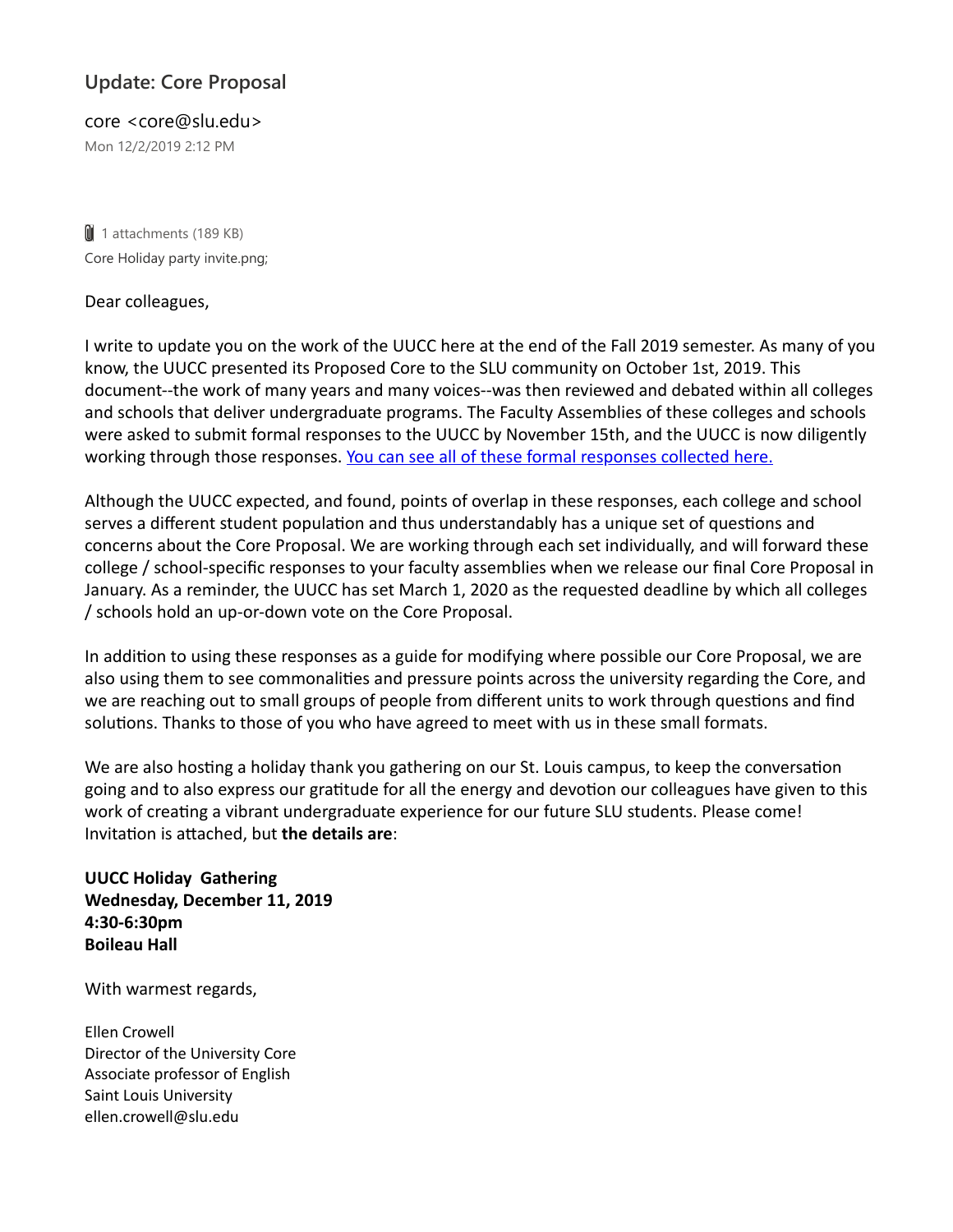## **Update: Core Proposal**

core <core@slu.edu> Mon 12/2/2019 2:12 PM

 $\parallel$  1 attachments (189 KB) Core Holiday party invite.png;

## Dear colleagues,

I write to update you on the work of the UUCC here at the end of the Fall 2019 semester. As many of you know, the UUCC presented its Proposed Core to the SLU community on October 1st, 2019. This document--the work of many years and many voices--was then reviewed and debated within all colleges and schools that deliver undergraduate programs. The Faculty Assemblies of these colleges and schools were asked to submit formal responses to the UUCC by November 15th, and the UUCC is now diligently working through those responses. You can see all of these formal responses collected here.

Although the UUCC expected, and found, points of overlap in these responses, each college and school serves a different student population and thus understandably has a unique set of questions and concerns about the Core Proposal. We are working through each set individually, and will forward these college / school-specific responses to your faculty assemblies when we release our final Core Proposal in January. As a reminder, the UUCC has set March 1, 2020 as the requested deadline by which all colleges / schools hold an up-or-down vote on the Core Proposal.

In addition to using these responses as a guide for modifying where possible our Core Proposal, we are also using them to see commonalities and pressure points across the university regarding the Core, and we are reaching out to small groups of people from different units to work through questions and find solutions. Thanks to those of you who have agreed to meet with us in these small formats.

We are also hosting a holiday thank you gathering on our St. Louis campus, to keep the conversation going and to also express our gratitude for all the energy and devotion our colleagues have given to this work of creating a vibrant undergraduate experience for our future SLU students. Please come! Invitation is attached, but **the details are**:

**UUCC Holiday Gathering Wednesday, December 11, 2019 4:30-6:30pm Boileau Hall** 

With warmest regards,

Ellen Crowell Director of the University Core Associate professor of English Saint Louis University ellen.crowell@slu.edu